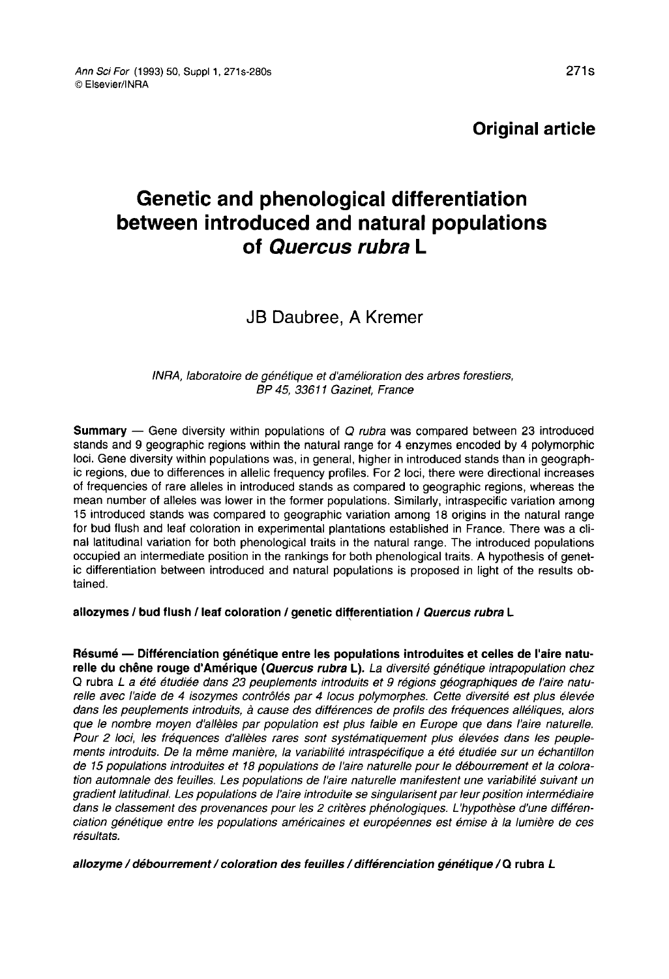Original article

# Genetic and phenological differentiation between introduced and natural populations of Quercus rubra L

## JB Daubree, A Kremer

## INRA, laboratoire de génétique et d'amélioration des arbres forestiers, BP 45, 33611 Gazinet, France

**Summary** — Gene diversity within populations of Q rubra was compared between 23 introduced stands and 9 geographic regions within the natural range for 4 enzymes encoded by 4 polymorphic loci. Gene diversity within populations was, in general, higher in introduced stands than in geographic regions, due to differences in allelic frequency profiles. For 2 loci, there were directional increases of frequencies of rare alleles in introduced stands as compared to geographic regions, whereas the<br>mean number of alleles was lower in the former populations. Similarly, intraspecific variation among 15 introduced stands was compared to geographic variation among 18 origins in the natural range for bud flush and leaf coloration in experimental plantations established in France. There was a clinal latitudinal variation for both phenological traits in the natural range. The introduced populations occupied an intermediate position in the rankings for both phenological traits. A hypothesis of genetic differentiation between introduced and natural populations is proposed in light of the results obtained.

## allozymes / bud flush / leaf coloration / genetic differentiation / Quercus rubra L

Résumé — Différenciation génétique entre les populations introduites et celles de l'aire naturelle du chêne rouge d'Amérique (Quercus rubra L). La diversité génétique intrapopulation chez Q rubra L a été étudiée dans 23 peuplements introduits et 9 régions géographiques de l'aire naturelle avec l'aide de 4 isozymes contrôlés par 4 locus polymorphes. Cette diversité est plus élevée dans les peuplements introduits, à cause des différences de profils des fréquences alléliques, alors que le nombre moyen d'allèles par population est plus faible en Europe que dans l'aire naturelle.<br>Pour 2 loci, les fréquences d'allèles rares sont systématiquement plus élevées dans les peuplements introduits. De la même manière, la variabilité intraspécifique a été étudiée sur un échantillon de 15 populations introduites et 18 populations de l'aire naturelle pour le débourrement et la coloration automnale des feuilles. Les populations de l'aire naturelle manifestent une variabilité suivant un gradient latitudinal. Les populations de l'aire introduite se singularisent par leur position intermédiaire dans le classement des provenances pour les 2 critères phénologiques. L'hypothèse d'une différenciation génétique entre les populations américaines et européennes est émise à la lumière de ces résultats.

allozyme / débourrement / coloration des feuilles / différenciation génétique / Q rubra L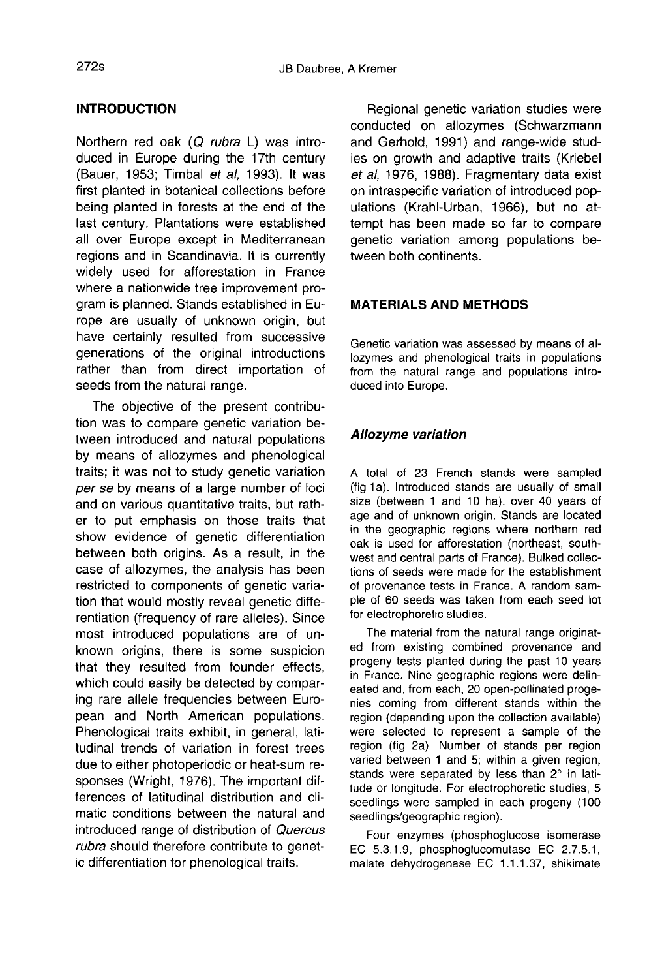## INTRODUCTION

Northern red oak (Q rubra L) was introduced in Europe during the 17th century (Bauer, 1953; Timbal et al, 1993). It was first planted in botanical collections before being planted in forests at the end of the last century. Plantations were established all over Europe except in Mediterranean regions and in Scandinavia. It is currently widely used for afforestation in France where a nationwide tree improvement program is planned. Stands established in Europe are usually of unknown origin, but have certainly resulted from successive generations of the original introductions rather than from direct importation of seeds from the natural range.

The objective of the present contribution was to compare genetic variation between introduced and natural populations by means of allozymes and phenological traits; it was not to study genetic variation per se by means of a large number of loci and on various quantitative traits, but rather to put emphasis on those traits that show evidence of genetic differentiation between both origins. As a result, in the case of allozymes, the analysis has been restricted to components of genetic variation that would mostly reveal genetic differentiation (frequency of rare alleles). Since most introduced populations are of unknown origins, there is some suspicion that they resulted from founder effects, which could easily be detected by comparing rare allele frequencies between European and North American populations. Phenological traits exhibit, in general, latitudinal trends of variation in forest trees due to either photoperiodic or heat-sum responses (Wright, 1976). The important differences of latitudinal distribution and climatic conditions between the natural and introduced range of distribution of Quercus rubra should therefore contribute to genetic differentiation for phenological traits.

Regional genetic variation studies were conducted on allozymes (Schwarzmann and Gerhold, 1991) and range-wide studies on growth and adaptive traits (Kriebel et al, 1976, 1988). Fragmentary data exist on intraspecific variation of introduced populations (Krahl-Urban, 1966), but no attempt has been made so far to compare genetic variation among populations between both continents.

## MATERIALS AND METHODS

Genetic variation was assessed by means of allozymes and phenological traits in populations from the natural range and populations introduced into Europe.

## Allozyme variation

A total of 23 French stands were sampled (fig 1a). Introduced stands are usually of small size (between 1 and 10 ha), over 40 years of age and of unknown origin. Stands are located in the geographic regions where northern red oak is used for afforestation (northeast, southwest and central parts of France). Bulked collections of seeds were made for the establishment of provenance tests in France. A random sample of 60 seeds was taken from each seed lot for electrophoretic studies.

The material from the natural range originated from existing combined provenance and progeny tests planted during the past 10 years in France. Nine geographic regions were delineated and, from each, 20 open-pollinated progenies coming from different stands within the region (depending upon the collection available) were selected to represent a sample of the region (fig 2a). Number of stands per region varied between 1 and 5; within a given region, stands were separated by less than 2° in latitude or longitude. For electrophoretic studies, 5 seedlings were sampled in each progeny (100 seedlings/geographic region).

Four enzymes (phosphoglucose isomerase EC 5.3.1.9, phosphoglucomutase EC 2.7.5.1, malate dehydrogenase EC 1.1.1.37, shikimate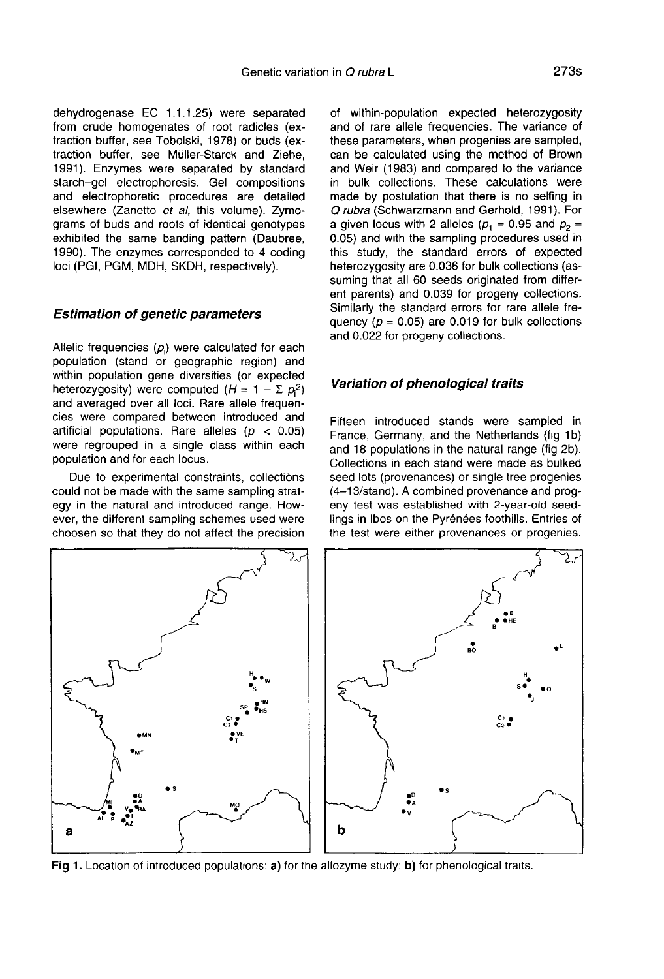dehydrogenase EC 1.1.1.25) were separated from crude homogenates of root radicles (extraction buffer, see Tobolski, 1978) or buds (extraction buffer, see Müller-Starck and Ziehe, 1991). Enzymes were separated by standard starch-gel electrophoresis. Gel compositions and electrophoretic procedures are detailed elsewhere (Zanetto et al, this volume). Zymograms of buds and roots of identical genotypes exhibited the same banding pattern (Daubree, 1990). The enzymes corresponded to 4 coding loci (PGI, PGM, MDH, SKDH, respectively).

#### Estimation of genetic parameters

Allelic frequencies  $(p_i)$  were calculated for each population (stand or geographic region) and within population gene diversities (or expected heterozygosity) were computed  $(H = 1 - \sum p_i^2)$ and averaged over all loci. Rare allele frequencies were compared between introduced and artificial populations. Rare alleles  $(p_i < 0.05)$  were regrouped in a single class within each population and for each locus.

Due to experimental constraints, collections could not be made with the same sampling strategy in the natural and introduced range. However, the different sampling schemes used were choosen so that they do not affect the precision

of within-population expected heterozygosity and of rare allele frequencies. The variance of these parameters, when progenies are sampled, can be calculated using the method of Brown and Weir (1983) and compared to the variance in bulk collections. These calculations were made by postulation that there is no selfing in Q rubra (Schwarzmann and Gerhold, 1991). For a given locus with 2 alleles ( $p_1 = 0.95$  and  $p_2 =$ 0.05) and with the sampling procedures used in this study, the standard errors of expected heterozygosity are 0.036 for bulk collections (assuming that all 60 seeds originated from different parents) and 0.039 for progeny collections. Similarly the standard errors for rare allele frequency ( $p = 0.05$ ) are 0.019 for bulk collections and 0.022 for progeny collections.

#### Variation of phenological traits

Fifteen introduced stands were sampled in France, Germany, and the Netherlands (fig 1b) and 18 populations in the natural range (fig 2b). Collections in each stand were made as bulked seed lots (provenances) or single tree progenies (4-13/stand). A combined provenance and progeny test was established with 2-year-old seedlings in lbos on the Pyrénées foothills. Entries of the test were either provenances or progenies.



Fig 1. Location of introduced populations: a) for the allozyme study; b) for phenological traits.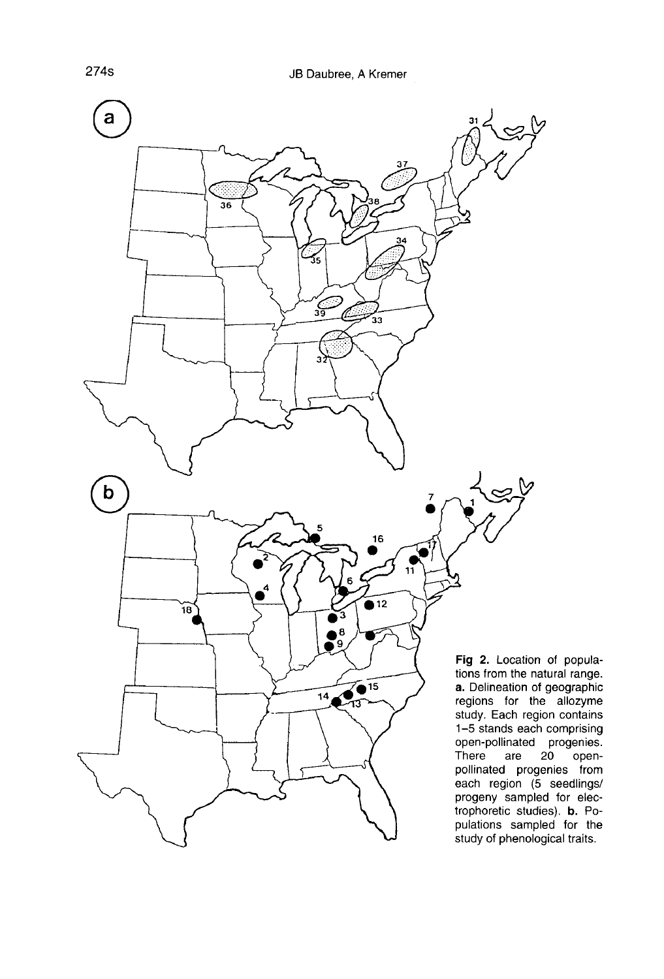

open-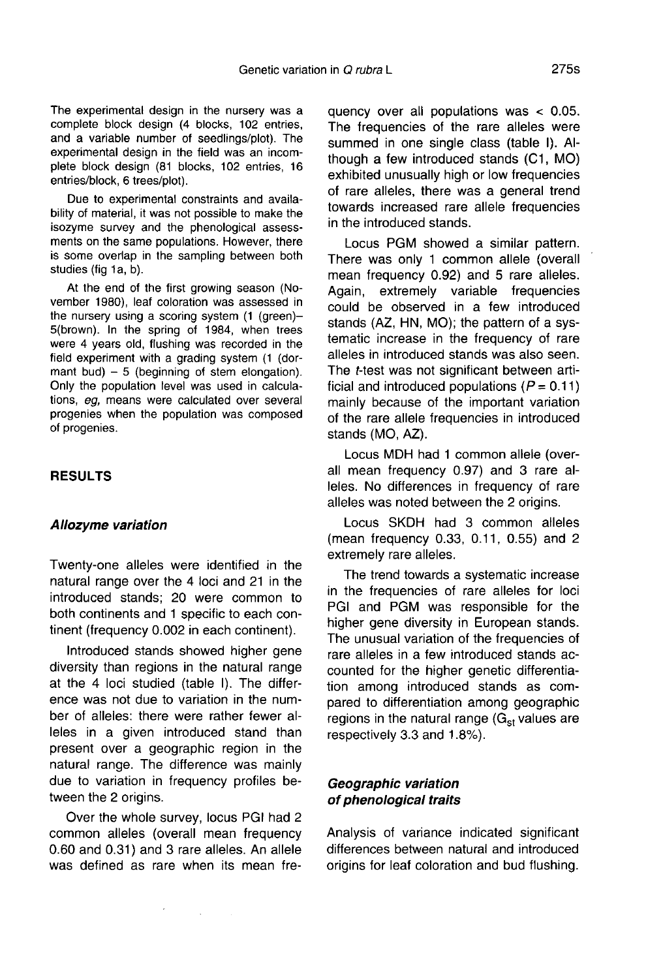The experimental design in the nursery was a complete block design (4 blocks, 102 entries, and a variable number of seedlings/plot). The experimental design in the field was an incomplete block design (81 blocks, 102 entries, 16 entries/block, 6 trees/plot).

Due to experimental constraints and availability of material, it was not possible to make the isozyme survey and the phenological assessments on the same populations. However, there is some overlap in the sampling between both studies (fig 1a, b).

At the end of the first growing season (November 1980), leaf coloration was assessed in the nursery using a scoring system (1 (green)-5(brown). In the spring of 1984, when trees were 4 years old, flushing was recorded in the field experiment with a grading system (1 (dor mant bud)  $-5$  (beginning of stem elongation). Only the population level was used in calculations, eg, means were calculated over several progenies when the population was composed of progenies.

## RESULTS

#### Allozyme variation

Twenty-one alleles were identified in the natural range over the 4 loci and 21 in the introduced stands; 20 were common to both continents and 1 specific to each continent (frequency 0.002 in each continent).

Introduced stands showed higher gene diversity than regions in the natural range at the 4 loci studied (table I). The difference was not due to variation in the number of alleles: there were rather fewer alleles in a given introduced stand than present over a geographic region in the natural range. The difference was mainly due to variation in frequency profiles between the 2 origins.

Over the whole survey, locus PGI had 2 common alleles (overall mean frequency 0.60 and 0.31) and 3 rare alleles. An allele was defined as rare when its mean fre-

 $\epsilon$ 

 $\sim 10^{-1}$ 

quency over all populations was < 0.05. The frequencies of the rare alleles were summed in one single class (table I). Although a few introduced stands (C1, MO) exhibited unusually high or low frequencies of rare alleles, there was a general trend towards increased rare allele frequencies in the introduced stands.

Locus PGM showed a similar pattern. There was only 1 common allele (overall mean frequency 0.92) and 5 rare alleles. Again, extremely variable frequencies could be observed in a few introduced stands (AZ, HN, MO); the pattern of a systematic increase in the frequency of rare alleles in introduced stands was also seen. The t-test was not significant between artificial and introduced populations ( $P = 0.11$ ) mainly because of the important variation of the rare allele frequencies in introduced stands (MO, AZ).

Locus MDH had 1 common allele (overall mean frequency 0.97) and 3 rare alleles. No differences in frequency of rare alleles was noted between the 2 origins.

Locus SKDH had 3 common alleles (mean frequency 0.33, 0.11, 0.55) and 2 extremely rare alleles.

The trend towards a systematic increase in the frequencies of rare alleles for loci PGI and PGM was responsible for the higher gene diversity in European stands. The unusual variation of the frequencies of rare alleles in a few introduced stands accounted for the higher genetic differentiation among introduced stands as compared to differentiation among geographic regions in the natural range  $(G_{st}$  values are respectively 3.3 and 1.8%).

## Geographic variation of phenological traits

Analysis of variance indicated significant differences between natural and introduced origins for leaf coloration and bud flushing.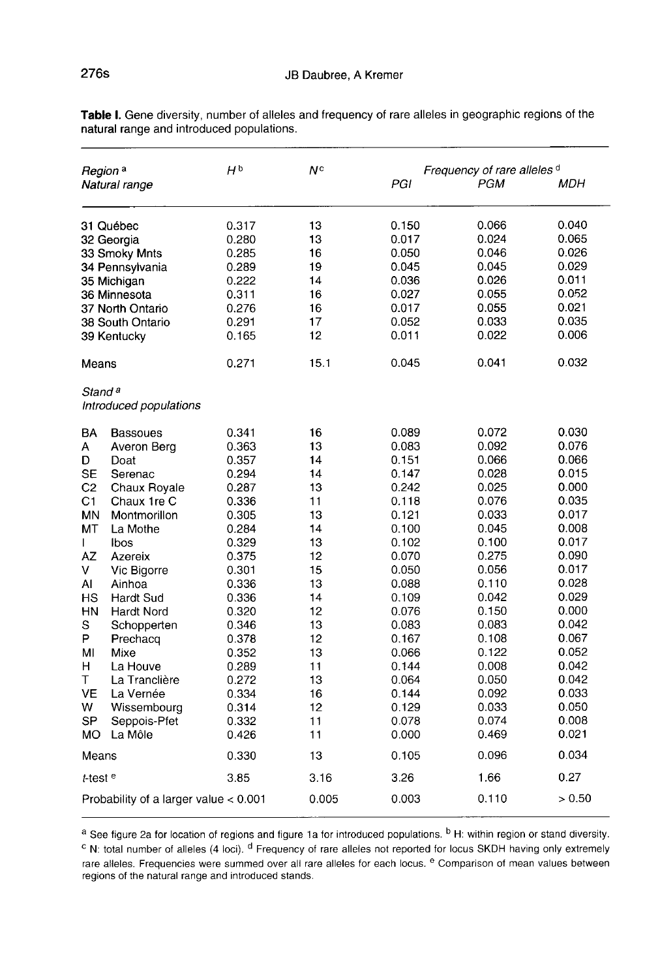| Region <sup>a</sup>                          | HÞ                                                                                                     | Νc                                                                                              | Frequency of rare alleles d                                                                  |                                                                                                          |                                                                                                                                                       |
|----------------------------------------------|--------------------------------------------------------------------------------------------------------|-------------------------------------------------------------------------------------------------|----------------------------------------------------------------------------------------------|----------------------------------------------------------------------------------------------------------|-------------------------------------------------------------------------------------------------------------------------------------------------------|
| Natural range                                |                                                                                                        |                                                                                                 | PGI                                                                                          | PGM                                                                                                      | MDH                                                                                                                                                   |
| 31 Québec                                    | 0.317                                                                                                  | 13                                                                                              | 0.150                                                                                        | 0.066                                                                                                    | 0.040                                                                                                                                                 |
| 32 Georgia                                   | 0.280                                                                                                  | 13                                                                                              | 0.017                                                                                        | 0.024                                                                                                    | 0.065                                                                                                                                                 |
| 33 Smoky Mnts                                | 0.285                                                                                                  | 16                                                                                              | 0.050                                                                                        | 0.046                                                                                                    | 0.026                                                                                                                                                 |
| 34 Pennsylvania                              | 0.289                                                                                                  | 19                                                                                              | 0.045                                                                                        | 0.045                                                                                                    | 0.029                                                                                                                                                 |
| 35 Michigan                                  | 0.222                                                                                                  | 14                                                                                              | 0.036                                                                                        | 0.026                                                                                                    | 0.011                                                                                                                                                 |
| 36 Minnesota                                 | 0.311                                                                                                  | 16                                                                                              | 0.027                                                                                        | 0.055                                                                                                    | 0.052                                                                                                                                                 |
| 37 North Ontario                             | 0.276                                                                                                  | 16                                                                                              | 0.017                                                                                        | 0.055                                                                                                    | 0.021                                                                                                                                                 |
| 38 South Ontario                             | 0.291                                                                                                  | 17                                                                                              | 0.052                                                                                        | 0.033                                                                                                    | 0.035                                                                                                                                                 |
| 39 Kentucky                                  | 0.165                                                                                                  | 12                                                                                              | 0.011                                                                                        | 0.022                                                                                                    | 0.006                                                                                                                                                 |
| Means                                        | 0.271                                                                                                  | 15.1                                                                                            | 0.045                                                                                        | 0.041                                                                                                    | 0.032                                                                                                                                                 |
| Stand <sup>a</sup><br>Introduced populations |                                                                                                        |                                                                                                 |                                                                                              |                                                                                                          |                                                                                                                                                       |
| Bassoues                                     | 0.341                                                                                                  | 16                                                                                              | 0.089                                                                                        | 0.072                                                                                                    | 0.030                                                                                                                                                 |
| Averon Berg                                  | 0.363                                                                                                  | 13                                                                                              | 0.083                                                                                        | 0.092                                                                                                    | 0.076                                                                                                                                                 |
| Doat                                         | 0.357                                                                                                  | 14                                                                                              | 0.151                                                                                        | 0.066                                                                                                    | 0.066                                                                                                                                                 |
| Serenac                                      | 0.294                                                                                                  | 14                                                                                              | 0.147                                                                                        | 0.028                                                                                                    | 0.015                                                                                                                                                 |
| Chaux Royale                                 | 0.287                                                                                                  | 13                                                                                              | 0.242                                                                                        | 0.025                                                                                                    | 0.000                                                                                                                                                 |
|                                              |                                                                                                        |                                                                                                 | 0.118                                                                                        |                                                                                                          | 0.035                                                                                                                                                 |
| Montmorillon                                 | 0.305                                                                                                  |                                                                                                 | 0.121                                                                                        |                                                                                                          | 0.017                                                                                                                                                 |
|                                              |                                                                                                        |                                                                                                 |                                                                                              |                                                                                                          | 0.008                                                                                                                                                 |
| Ibos                                         |                                                                                                        |                                                                                                 |                                                                                              |                                                                                                          | 0.017                                                                                                                                                 |
| Azereix                                      | 0.375                                                                                                  |                                                                                                 | 0.070                                                                                        |                                                                                                          | 0.090                                                                                                                                                 |
| Vic Bigorre                                  |                                                                                                        |                                                                                                 |                                                                                              |                                                                                                          | 0.017                                                                                                                                                 |
| Ainhoa                                       |                                                                                                        |                                                                                                 |                                                                                              |                                                                                                          | 0.028                                                                                                                                                 |
| Hardt Sud                                    | 0.336                                                                                                  |                                                                                                 | 0.109                                                                                        |                                                                                                          | 0.029                                                                                                                                                 |
| Hardt Nord                                   | 0.320                                                                                                  |                                                                                                 |                                                                                              |                                                                                                          | 0.000                                                                                                                                                 |
|                                              |                                                                                                        |                                                                                                 |                                                                                              |                                                                                                          | 0.042                                                                                                                                                 |
|                                              |                                                                                                        |                                                                                                 |                                                                                              |                                                                                                          | 0.067                                                                                                                                                 |
|                                              |                                                                                                        |                                                                                                 |                                                                                              |                                                                                                          | 0.052                                                                                                                                                 |
| La Houve                                     | 0.289                                                                                                  | 11                                                                                              | 0.144                                                                                        | 0.008                                                                                                    | 0.042                                                                                                                                                 |
|                                              |                                                                                                        |                                                                                                 |                                                                                              |                                                                                                          | 0.042                                                                                                                                                 |
| La Vernée                                    | 0.334                                                                                                  | 16                                                                                              | 0.144                                                                                        |                                                                                                          | 0.033                                                                                                                                                 |
| Wissembourg                                  | 0.314                                                                                                  |                                                                                                 |                                                                                              |                                                                                                          | 0.050                                                                                                                                                 |
|                                              |                                                                                                        |                                                                                                 |                                                                                              |                                                                                                          | 0.008                                                                                                                                                 |
|                                              |                                                                                                        |                                                                                                 |                                                                                              |                                                                                                          | 0.021                                                                                                                                                 |
| Means                                        | 0.330                                                                                                  | 13                                                                                              | 0.105                                                                                        | 0.096                                                                                                    | 0.034                                                                                                                                                 |
| t-test <sup>e</sup>                          | 385                                                                                                    | 3.16                                                                                            | 3.26                                                                                         | 1.66                                                                                                     | 0.27                                                                                                                                                  |
| Probability of a larger value $< 0.001$      |                                                                                                        | 0.005                                                                                           | 0.003                                                                                        | 0.110                                                                                                    | > 0.50                                                                                                                                                |
|                                              | Chaux 1re C<br>La Mothe<br>Schopperten<br>Prechacq<br>Mixe<br>La Tranclière<br>Seppois-Pfet<br>La Môle | 0.336<br>0.284<br>0.329<br>0.301<br>0.336<br>0.346<br>0.378<br>0.352<br>0.272<br>0.332<br>0.426 | 11<br>13<br>14<br>13<br>12<br>15<br>13<br>14<br>12<br>13<br>12<br>13<br>13<br>12<br>11<br>11 | 0.100<br>0.102<br>0.050<br>0.088<br>0.076<br>0.083<br>0.167<br>0.066<br>0.064<br>0.129<br>0.078<br>0.000 | 0.076<br>0.033<br>0.045<br>0.100<br>0.275<br>0.056<br>0.110<br>0.042<br>0.150<br>0.083<br>0.108<br>0.122<br>0.050<br>0.092<br>0.033<br>0.074<br>0.469 |

Table I. Gene diversity, number of alleles and frequency of rare alleles in geographic regions of the natural range and introduced populations.

a See figure 2a for location of regions and figure 1a for introduced populations. <sup>b</sup> H: within region or stand diversity. <sup>c</sup> N: total number of alleles (4 loci). <sup>d</sup> Frequency of rare alleles not reported for locus SKDH having only extremely rare alleles. Frequencies were summed over all rare alleles for each locus. <sup>e</sup> Comparison of mean values between<br>regions of the natural range and introduced stands.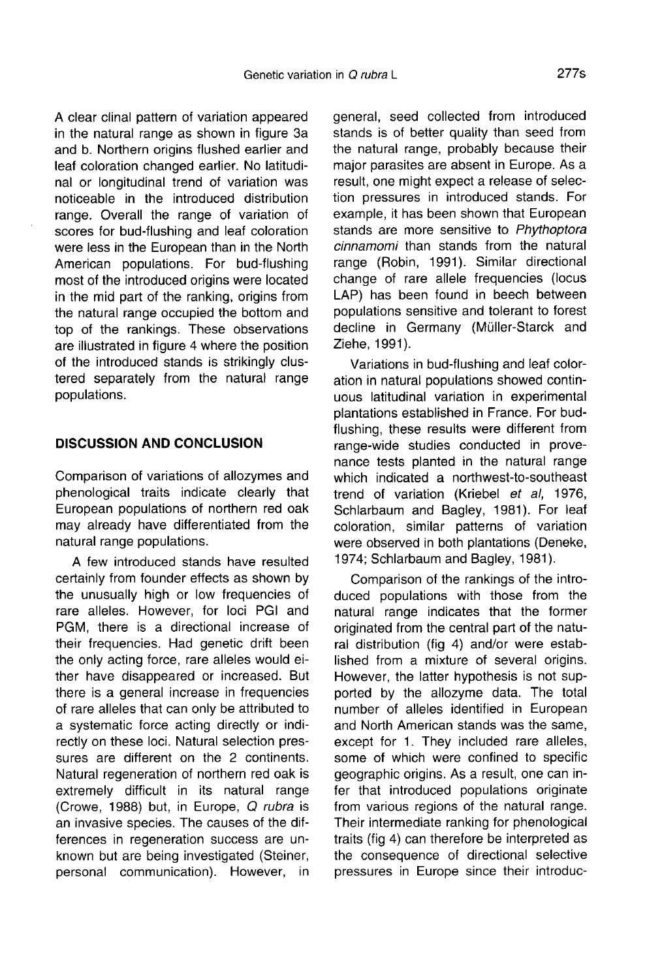A clear clinal pattern of variation appeared in the natural range as shown in figure 3a and b. Northern origins flushed earlier and leaf coloration changed earlier. No latitudinal or longitudinal trend of variation was noticeable in the introduced distribution range. Overall the range of variation of scores for bud-flushing and leaf coloration were less in the European than in the North American populations. For bud-flushing most of the introduced origins were located in the mid part of the ranking, origins from the natural range occupied the bottom and top of the rankings. These observations are illustrated in figure 4 where the position of the introduced stands is strikingly clustered separately from the natural range populations.

## DISCUSSION AND CONCLUSION

Comparison of variations of allozymes and phenological traits indicate clearly that European populations of northern red oak may already have differentiated from the natural range populations.

A few introduced stands have resulted certainly from founder effects as shown by the unusually high or low frequencies of rare alleles. However, for loci PGI and PGM, there is a directional increase of their frequencies. Had genetic drift been the only acting force, rare alleles would either have disappeared or increased. But there is a general increase in frequencies of rare alleles that can only be attributed to a systematic force acting directly or indirectly on these loci. Natural selection pressures are different on the 2 continents. Natural regeneration of northern red oak is extremely difficult in its natural range (Crowe, 1988) but, in Europe, Q rubra is an invasive species. The causes of the differences in regeneration success are unknown but are being investigated (Steiner, personal communication). However, in general, seed collected from introduced stands is of better quality than seed from the natural range, probably because their major parasites are absent in Europe. As a result, one might expect a release of selection pressures in introduced stands. For example, it has been shown that European stands are more sensitive to Phythoptora cinnamomi than stands from the natural range (Robin, 1991). Similar directional change of rare allele frequencies (locus LAP) has been found in beech between populations sensitive and tolerant to forest decline in Germany (Müller-Starck and Ziehe, 1991).

Variations in bud-flushing and leaf coloration in natural populations showed continuous latitudinal variation in experimental plantations established in France. For budflushing, these results were different from range-wide studies conducted in provenance tests planted in the natural range which indicated a northwest-to-southeast trend of variation (Kriebel et al, 1976, Schlarbaum and Bagley, 1981). For leaf coloration, similar patterns of variation were observed in both plantations (Deneke, 1974; Schlarbaum and Bagley, 1981).

Comparison of the rankings of the introduced populations with those from the natural range indicates that the former originated from the central part of the natural distribution (fig 4) and/or were established from a mixture of several origins. However, the latter hypothesis is not supported by the allozyme data. The total number of alleles identified in European and North American stands was the same, except for 1. They included rare alleles, some of which were confined to specific geographic origins. As a result, one can infer that introduced populations originate from various regions of the natural range. Their intermediate ranking for phenological traits (fig 4) can therefore be interpreted as the consequence of directional selective pressures in Europe since their introduc-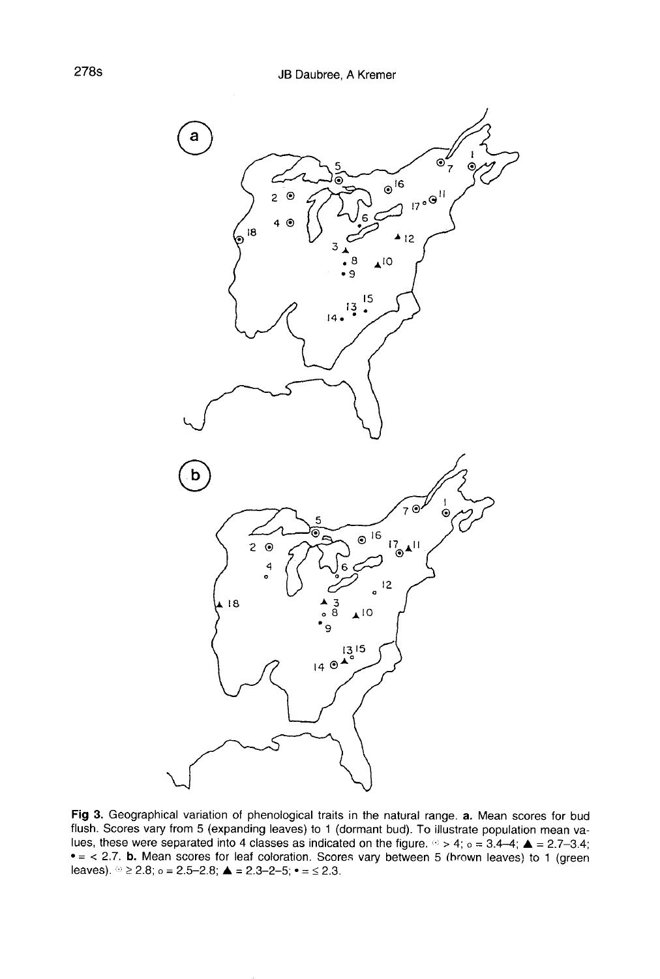

Fig 3. Geographical variation of phenological traits in the natural range. a. Mean scores for bud flush. Scores vary from 5 (expanding leaves) to 1 (dormant bud). To illustrate population mean values, these were separated into 4 classes as indicated on the figure.  $\degree$  > 4; o = 3.4-4;  $\blacktriangle$  = 2.7-3.4;  $\bullet$  = < 2.7. b. Mean scores for leaf coloration. Scores vary between 5 (brown leaves) to 1 (green leaves).  $\degree \geq 2.8$ ;  $\degree = 2.5 - 2.8$ ;  $\triangle = 2.3 - 2 - 5$ ;  $\degree = \leq 2.3$ .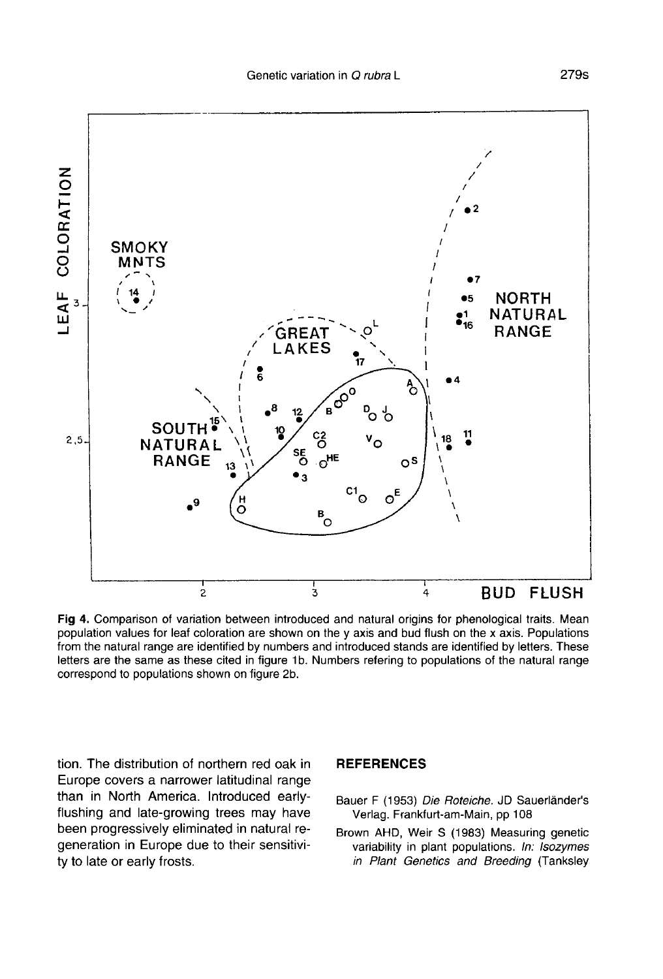

Fig 4. Comparison of variation between introduced and natural origins for phenological traits. Mean population values for leaf coloration are shown on the y axis and bud flush on the x axis. Populations from the natural range are identified by numbers and introduced stands are identified by letters. These letters are the same as these cited in figure 1b. Numbers refering to populations of the natural range correspond to populations shown on figure 2b.

tion. The distribution of northern red oak in Europe covers a narrower latitudinal range than in North America. Introduced earlyflushing and late-growing trees may have been progressively eliminated in natural regeneration in Europe due to their sensitivity to late or early frosts.

## **REFERENCES**

- Bauer F (1953) Die Roteiche. JD Sauerländer's Verlag. Frankfurt-am-Main, pp 108
- Brown AHD, Weir S (1983) Measuring genetic variability in plant populations. In: Isozymes in Plant Genetics and Breeding (Tanksley